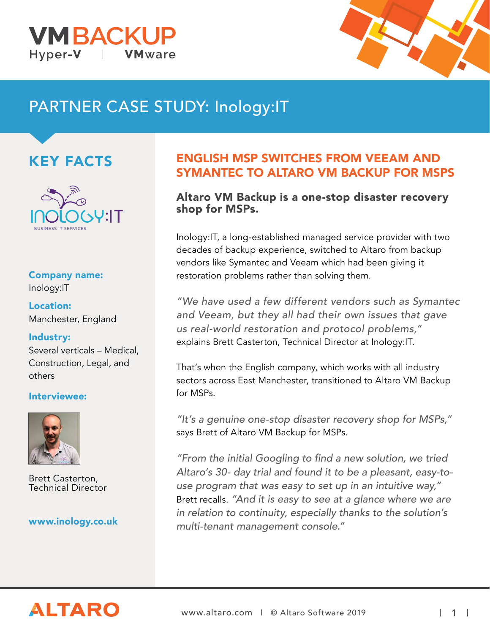



# PARTNER CASE STUDY: Inology:IT

## KEY FACTS



## Company name:

Inology:IT

Location: Manchester, England

### Industry:

Several verticals – Medical, Construction, Legal, and others

### Interviewee:



Brett Casterton, Technical Director

### www.inology.co.uk

### ENGLISH MSP SWITCHES FROM VEEAM AND SYMANTEC TO ALTARO VM BACKUP FOR MSPS

### Altaro VM Backup is a one-stop disaster recovery shop for MSPs.

Inology:IT, a long-established managed service provider with two decades of backup experience, switched to Altaro from backup vendors like Symantec and Veeam which had been giving it restoration problems rather than solving them.

"We have used a few different vendors such as Symantec and Veeam, but they all had their own issues that gave us real-world restoration and protocol problems," explains Brett Casterton, Technical Director at Inology:IT.

That's when the English company, which works with all industry sectors across East Manchester, transitioned to Altaro VM Backup for MSPs.

"It's a genuine one-stop disaster recovery shop for MSPs," says Brett of Altaro VM Backup for MSPs.

"From the initial Googling to find a new solution, we tried Altaro's 30- day trial and found it to be a pleasant, easy-touse program that was easy to set up in an intuitive way," Brett recalls. "And it is easy to see at a glance where we are in relation to continuity, especially thanks to the solution's multi-tenant management console."

# **ALTARO**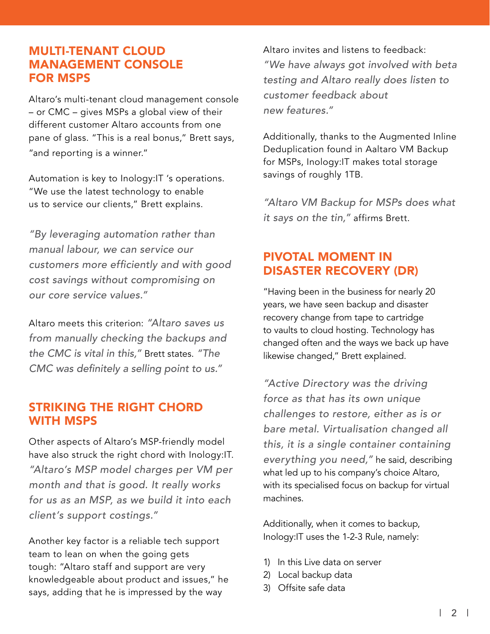### MULTI-TENANT CLOUD MANAGEMENT CONSOLE FOR MSPS

Altaro's multi-tenant cloud management console – or CMC – gives MSPs a global view of their different customer Altaro accounts from one pane of glass. "This is a real bonus," Brett says, "and reporting is a winner."

Automation is key to Inology:IT 's operations. "We use the latest technology to enable us to service our clients," Brett explains.

"By leveraging automation rather than manual labour, we can service our customers more efficiently and with good cost savings without compromising on our core service values."

Altaro meets this criterion: "Altaro saves us from manually checking the backups and the CMC is vital in this," Brett states. "The CMC was definitely a selling point to us."

### STRIKING THE RIGHT CHORD WITH MSPS

Other aspects of Altaro's MSP-friendly model have also struck the right chord with Inology:IT. "Altaro's MSP model charges per VM per month and that is good. It really works for us as an MSP, as we build it into each client's support costings."

Another key factor is a reliable tech support team to lean on when the going gets tough: "Altaro staff and support are very knowledgeable about product and issues," he says, adding that he is impressed by the way

Altaro invites and listens to feedback: "We have always got involved with beta testing and Altaro really does listen to customer feedback about new features."

Additionally, thanks to the Augmented Inline Deduplication found in Aaltaro VM Backup for MSPs, Inology:IT makes total storage savings of roughly 1TB.

"Altaro VM Backup for MSPs does what it says on the tin," affirms Brett.

### PIVOTAL MOMENT IN DISASTER RECOVERY (DR)

"Having been in the business for nearly 20 years, we have seen backup and disaster recovery change from tape to cartridge to vaults to cloud hosting. Technology has changed often and the ways we back up have likewise changed," Brett explained.

"Active Directory was the driving force as that has its own unique challenges to restore, either as is or bare metal. Virtualisation changed all this, it is a single container containing everything you need," he said, describing what led up to his company's choice Altaro, with its specialised focus on backup for virtual machines.

Additionally, when it comes to backup, Inology:IT uses the 1-2-3 Rule, namely:

- 1) In this Live data on server
- 2) Local backup data
- 3) Offsite safe data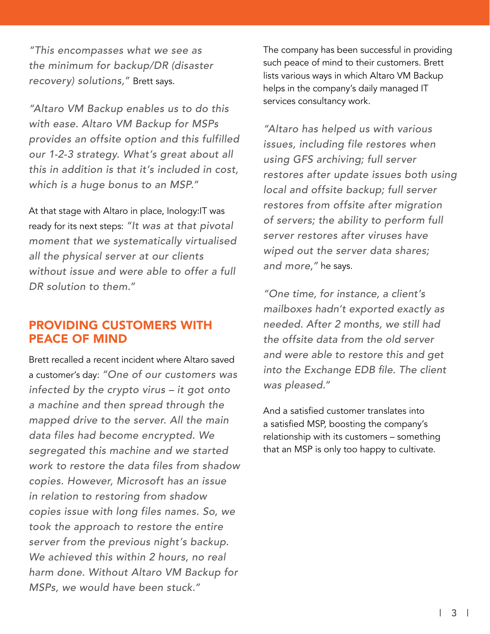"This encompasses what we see as the minimum for backup/DR (disaster recovery) solutions," Brett says.

"Altaro VM Backup enables us to do this with ease. Altaro VM Backup for MSPs provides an offsite option and this fulfilled our 1-2-3 strategy. What's great about all this in addition is that it's included in cost, which is a huge bonus to an MSP."

At that stage with Altaro in place, Inology:IT was ready for its next steps: "It was at that pivotal moment that we systematically virtualised all the physical server at our clients without issue and were able to offer a full DR solution to them."

### PROVIDING CUSTOMERS WITH PEACE OF MIND

Brett recalled a recent incident where Altaro saved a customer's day: "One of our customers was infected by the crypto virus – it got onto a machine and then spread through the mapped drive to the server. All the main data files had become encrypted. We segregated this machine and we started work to restore the data files from shadow copies. However, Microsoft has an issue in relation to restoring from shadow copies issue with long files names. So, we took the approach to restore the entire server from the previous night's backup. We achieved this within 2 hours, no real harm done. Without Altaro VM Backup for MSPs, we would have been stuck."

The company has been successful in providing such peace of mind to their customers. Brett lists various ways in which Altaro VM Backup helps in the company's daily managed IT services consultancy work.

"Altaro has helped us with various issues, including file restores when using GFS archiving; full server restores after update issues both using local and offsite backup; full server restores from offsite after migration of servers; the ability to perform full server restores after viruses have wiped out the server data shares; and more," he says.

"One time, for instance, a client's mailboxes hadn't exported exactly as needed. After 2 months, we still had the offsite data from the old server and were able to restore this and get into the Exchange EDB file. The client was pleased."

And a satisfied customer translates into a satisfied MSP, boosting the company's relationship with its customers – something that an MSP is only too happy to cultivate.